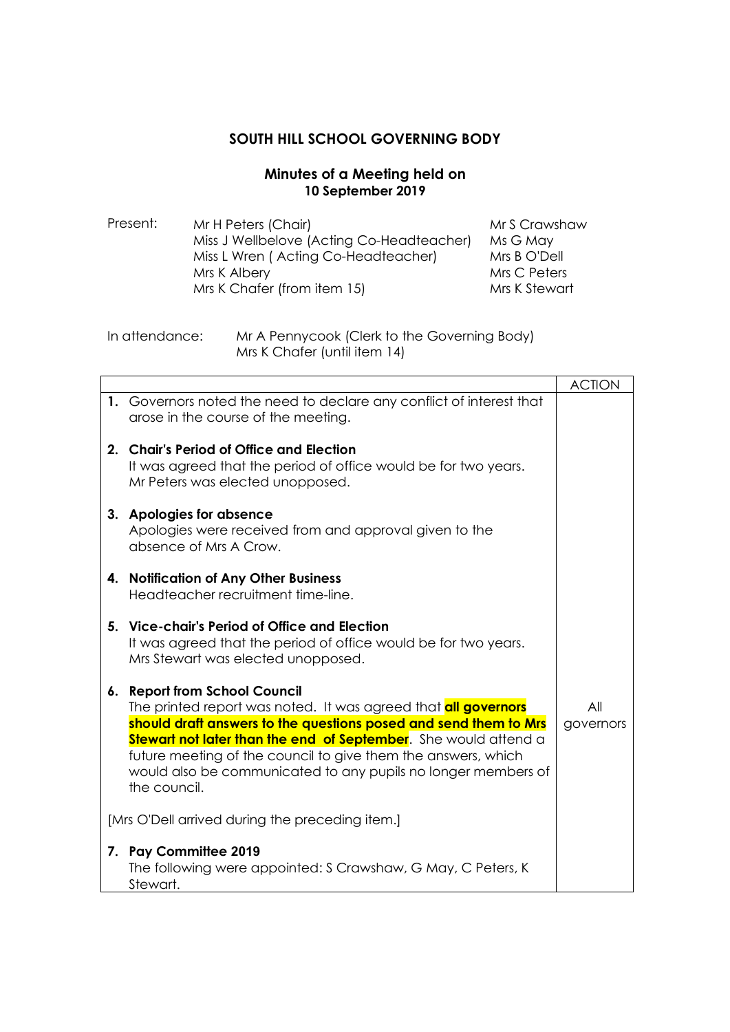## **SOUTH HILL SCHOOL GOVERNING BODY**

## **Minutes of a Meeting held on 10 September 2019**

- Present: Mr H Peters (Chair) Miss J Wellbelove (Acting Co-Headteacher) Miss L Wren ( Acting Co-Headteacher) Mrs K Albery Mrs K Chafer (from item 15) Mr S Crawshaw Ms G May Mrs B O'Dell Mrs C Peters Mrs K Stewart
- In attendance: Mr A Pennycook (Clerk to the Governing Body) Mrs K Chafer (until item 14)

|                                                 |                                                                                                                                                                                                                                                                                                                                                                                                         | <b>ACTION</b>    |
|-------------------------------------------------|---------------------------------------------------------------------------------------------------------------------------------------------------------------------------------------------------------------------------------------------------------------------------------------------------------------------------------------------------------------------------------------------------------|------------------|
|                                                 | 1. Governors noted the need to declare any conflict of interest that<br>arose in the course of the meeting.                                                                                                                                                                                                                                                                                             |                  |
|                                                 | 2. Chair's Period of Office and Election<br>It was agreed that the period of office would be for two years.<br>Mr Peters was elected unopposed.                                                                                                                                                                                                                                                         |                  |
|                                                 | 3. Apologies for absence<br>Apologies were received from and approval given to the<br>absence of Mrs A Crow.                                                                                                                                                                                                                                                                                            |                  |
|                                                 | 4. Notification of Any Other Business<br>Headteacher recruitment time-line.                                                                                                                                                                                                                                                                                                                             |                  |
|                                                 | 5. Vice-chair's Period of Office and Election<br>It was agreed that the period of office would be for two years.<br>Mrs Stewart was elected unopposed.                                                                                                                                                                                                                                                  |                  |
|                                                 | 6. Report from School Council<br>The printed report was noted. It was agreed that <b>all governors</b><br>should draft answers to the questions posed and send them to Mrs<br><b>Stewart not later than the end of September</b> . She would attend a<br>future meeting of the council to give them the answers, which<br>would also be communicated to any pupils no longer members of<br>the council. | All<br>governors |
| [Mrs O'Dell arrived during the preceding item.] |                                                                                                                                                                                                                                                                                                                                                                                                         |                  |
| 7.                                              | <b>Pay Committee 2019</b><br>The following were appointed: S Crawshaw, G May, C Peters, K<br>Stewart.                                                                                                                                                                                                                                                                                                   |                  |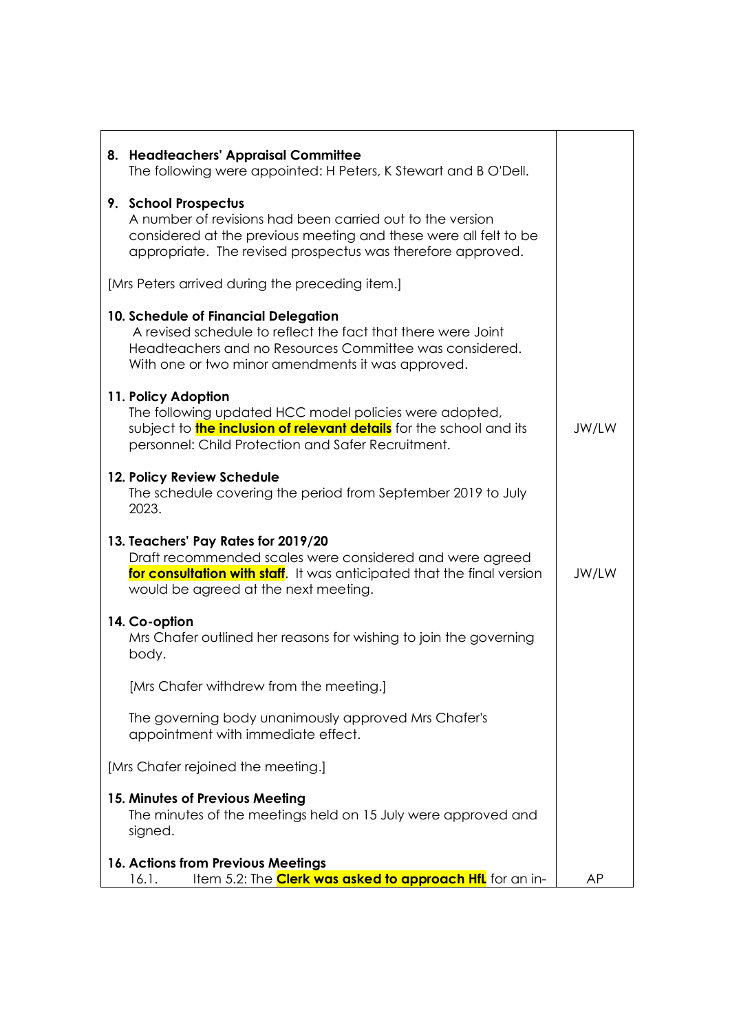| 8. Headteachers' Appraisal Committee<br>The following were appointed: H Peters, K Stewart and B O'Dell.                                                                                                              |       |  |
|----------------------------------------------------------------------------------------------------------------------------------------------------------------------------------------------------------------------|-------|--|
| 9. School Prospectus<br>A number of revisions had been carried out to the version<br>considered at the previous meeting and these were all felt to be<br>appropriate. The revised prospectus was therefore approved. |       |  |
| [Mrs Peters arrived during the preceding item.]                                                                                                                                                                      |       |  |
| 10. Schedule of Financial Delegation<br>A revised schedule to reflect the fact that there were Joint<br>Headteachers and no Resources Committee was considered.<br>With one or two minor amendments it was approved. |       |  |
| 11. Policy Adoption<br>The following updated HCC model policies were adopted,<br>subject to <b>the inclusion of relevant details</b> for the school and its<br>personnel: Child Protection and Safer Recruitment.    | JW/LW |  |
| 12. Policy Review Schedule<br>The schedule covering the period from September 2019 to July<br>2023.                                                                                                                  |       |  |
| 13. Teachers' Pay Rates for 2019/20<br>Draft recommended scales were considered and were agreed<br>for consultation with staff. It was anticipated that the final version<br>would be agreed at the next meeting.    | JW/LW |  |
| 14. Co-option<br>Mrs Chafer outlined her reasons for wishing to join the governing<br>body.                                                                                                                          |       |  |
| [Mrs Chafer withdrew from the meeting.]                                                                                                                                                                              |       |  |
| The governing body unanimously approved Mrs Chafer's<br>appointment with immediate effect.                                                                                                                           |       |  |
| [Mrs Chafer rejoined the meeting.]                                                                                                                                                                                   |       |  |
| 15. Minutes of Previous Meeting<br>The minutes of the meetings held on 15 July were approved and<br>signed.                                                                                                          |       |  |
| 16. Actions from Previous Meetings<br>Item 5.2: The <b>Clerk was asked to approach HfL</b> for an in-<br>16.1.                                                                                                       |       |  |
|                                                                                                                                                                                                                      | AP    |  |

 $\mathbf{r}$